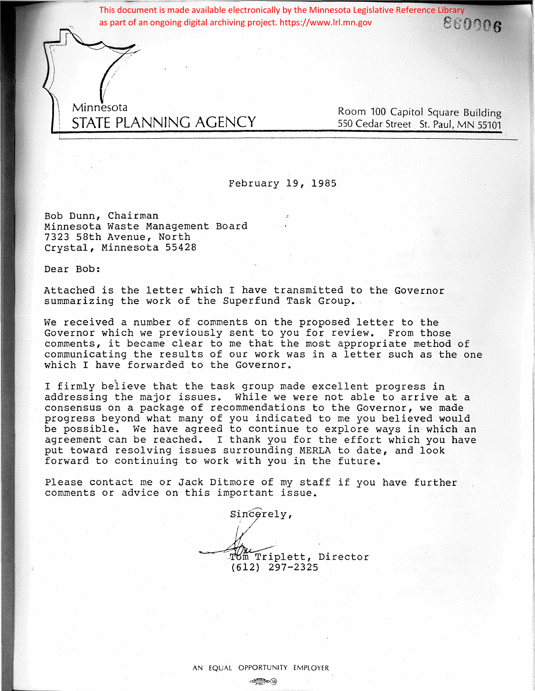This document is made available electronically by the Minnesota Legislative Reference Library<br>as part of an ongoing digital archiving project. https://www.lrl.mn.gov<br> $e_{\rm 6090}$ as part of an ongoing digital archiving project. https://www.lrl.mn.gov

Minnesota STATE PLANNING AGENCY

Room 100 Capitol Square Building 550 Cedar Street St. Paul, MN 55101

February 19, 1985

Bob Dunn, Chairman Minnesota Waste Management Board 7323 58th Avenue, North Crystal, Minnesota 55428

Dear Bob:

Attached is the letter which I have transmitted to the Governor summarizing the work of the Superfund Task Group.

We received a number of comments on the proposed letter to the Governor which we previously sent to you for review. From those comments, it became clear to me that the most appropriate method of communicating the results of our work was in a letter such as the one which I have forwarded to the Governor.

I firmly believe that the task group made excellent progress in addressing the major issues. While we were not able to arrive at a consensus on a package of recommendations to the Governor, we made progress beyond what many of you indicated to me you believed would be possible. We have agreed to continue to explore ways in· which an agreement can be reached. I thank you for the effort which you have put toward resolving issues surrounding MERLA to date, and look forward to continuing to work with you in the future.

Please contact me or Jack Ditmore of my staff if you have further comments or advice on this important issue.

Sincerely,

I / Tom Triplett, Director (612) 297-2325

AN EQUAL OPPORTUNITY EMPLOYER  $-200(5)$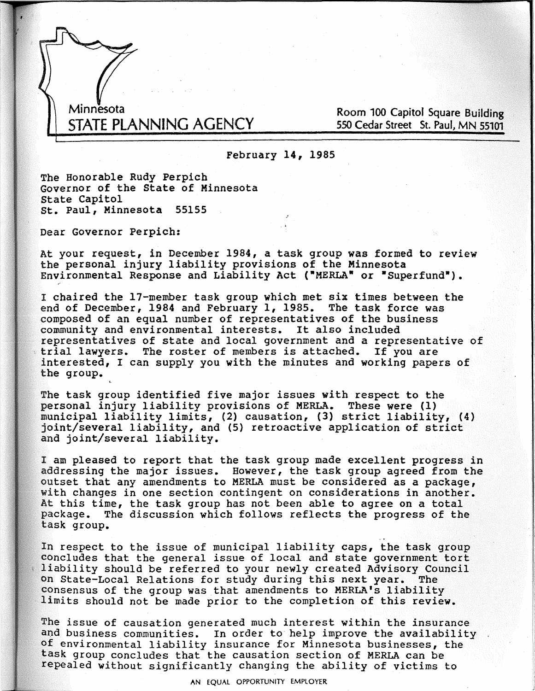Minnesota STATE PLANNING AGENCY

Room 100 Capitol Square Building 550 Cedar Street St. Paul, MN 55101

February 14, 1985

The Honorable Rudy Perpich Governor of the State of Minnesota State Capitol st. Paul, Minnesota 55155

Dear Governor Perpich:

At your request, in December 1984, a task group was formed to review the personal injury liability provisions of the Minnesota Environmental Response and Liability Act ("MERLA" or "Superfund").

I chaired the 17-member task group which met six times between the end of December, **1984** and February 1, 1985. The task force was composed of an equal number of representatives of the business community and environmental interests. It also included representatives of state and local government and a representative of \*.<br>• trial lawyers. The roster of members is attached. If you are interested, I can supply you with the minutes and working papers of the group.

The task group identified five major issues with respect to the personal injury liability provisions of MERLA. These were (1) municipal liability limits, (2) causation, (3) strict liability, (4) joint/several liability, and (5) retroactive application of strict and joint/several liability.

I am pleased to report that the task group made excellent progress in addressing the major issues. However, the task group agreed from the outset that any amendments to MERLA must be considered as a package, with changes in one section contingent on considerations in another. At this time, the task group bas not been able to agree on a total package. The discussion which follows reflects the progress of the task group. . .

In respect to the issue of municipal liability caps, the task group concludes that the general issue of local and state government tort liability should be referred to your newly created Advisory Council on State-Local Relations for study during this next year. consensus of the group was that amendments to MERLA's liability<br>limits should not be made prior to the completion of this review.

The issue of causation generated much interest within the insurance and business communities. In order to help improve the availability of environmental liability insurance for Minnesota businesses, the task group concludes that the causation section of MERLA can be repealed without significantly changing the ability of victims to

AN EQUAL OPPORTUNITY EMPLOYER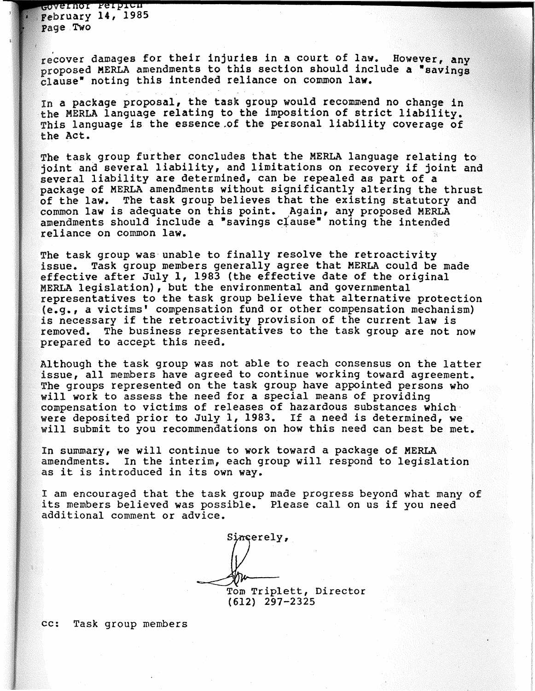covernor Refficu February 14, 1985 Page Two

recover damages for their injuries in a court of law. However, any proposed MERLA amendments to this section should include a "savings" clause• noting this intended reliance on common law.

In a package proposal, the task group would recommend no change in the MERLA language relating to the imposition of strict liability. This language is the essence,of the personal liability coverage of the Act.

The task group further concludes that the MERLA language relating to joint and several liability, and limitations on recovery if joint and several liability are determined, can be repealed as part of <sup>a</sup> package of MERLA amendments without significantly altering the thrust of the law. The task group believes that the existing statutory and common law is adequate on this point. Again, any proposed MERLA amendments should include a "savings clause" noting the intended reliance on common law.

The task group was unable to finally resolve the retroactivity issue. Task group members generally agree that MERLA could be made effective after July 1, 1983 (the effective date of the original MERLA legislation), but the environmental and governmental representatives to the task group believe that alternative protection (e.g., a victims' compensation fund or other compensation mechanism) is necessary if the retroactivity provision of the current law is removed. The business representatives to the task group are not now prepared to accept this need.

Although the task group was not able to reach consensus on the latter issue, all members have agreed to continue working toward agreement. The groups represented on the task group have appointed persons who will work to assess the need for a special means of providing compensation to victims of releases of hazardous substances which· were deposited prior to July 1, 1983. If a need is determined, we will submit to you recommendations on how this need can best be met.

In summary, we will continue to work toward a package of MERLA amendments. In the interim, each group will respond to legislation as it is introduced in its own way.

I am encouraged that the task group made progress beyond what many of its members believed was possible. Please call on us if you need additional comment or advice.

Sincerely, Tom Triplett, Director (612} 297-2325

cc: Task group members